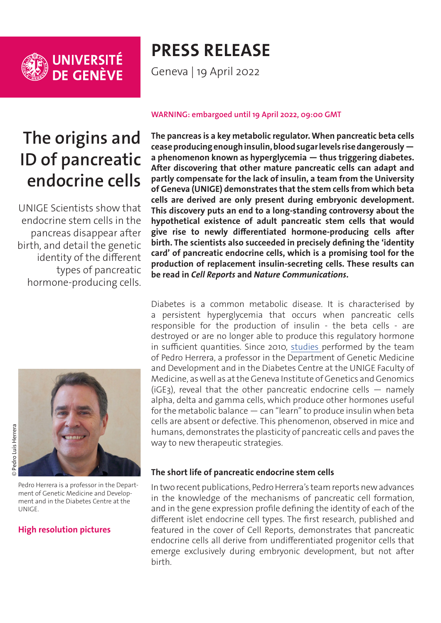

UNIVERSITÉ<br>DE GENÈVE

# **PRESS RELEASE**

Geneva | 19 April 2022

## **The origins and ID of pancreatic endocrine cells**

UNIGE Scientists show that endocrine stem cells in the pancreas disappear after birth, and detail the genetic identity of the different types of pancreatic hormone-producing cells.



Pedro Herrera is a professor in the Department of Genetic Medicine and Development and in the Diabetes Centre at the UNIGE.

### **[High resolution pictures](https://phototheque.unige.ch/documents/facets?newFacet=mot.cle.marc%3DCdP_220204_Herrera&clearFacets=1)**

#### **WARNING: embargoed until 19 April 2022, 09:00 GMT**

**The pancreas is a key metabolic regulator. When pancreatic beta cells cease producing enough insulin, blood sugar levels rise dangerously a phenomenon known as hyperglycemia — thus triggering diabetes. After discovering that other mature pancreatic cells can adapt and partly compensate for the lack of insulin, a team from the University of Geneva (UNIGE) demonstrates that the stem cells from which beta cells are derived are only present during embryonic development. This discovery puts an end to a long-standing controversy about the hypothetical existence of adult pancreatic stem cells that would give rise to newly differentiated hormone-producing cells after birth. The scientists also succeeded in precisely defining the 'identity card' of pancreatic endocrine cells, which is a promising tool for the production of replacement insulin-secreting cells. These results can be read in** *Cell Reports* **and** *Nature Communications***.**

Diabetes is a common metabolic disease. It is characterised by a persistent hyperglycemia that occurs when pancreatic cells responsible for the production of insulin - the beta cells - are destroyed or are no longer able to produce this regulatory hormone in sufficient quantities. Since 2010, [studies p](https://www.unige.ch/communication/communiques/en/2019/les-cellules-humaines-peuvent-aussi-changer-de-metier)erformed by the team of Pedro Herrera, a professor in the Department of Genetic Medicine and Development and in the Diabetes Centre at the UNIGE Faculty of Medicine, as well as at the Geneva Institute of Genetics and Genomics (iGE3), reveal that the other pancreatic endocrine cells  $-$  namely alpha, delta and gamma cells, which produce other hormones useful for the metabolic balance — can "learn" to produce insulin when beta cells are absent or defective. This phenomenon, observed in mice and humans, demonstrates the plasticity of pancreatic cells and paves the way to new therapeutic strategies.

### **The short life of pancreatic endocrine stem cells**

In two recent publications, Pedro Herrera's team reports new advances in the knowledge of the mechanisms of pancreatic cell formation, and in the gene expression profile defining the identity of each of the different islet endocrine cell types. The first research, published and featured in the cover of Cell Reports, demonstrates that pancreatic endocrine cells all derive from undifferentiated progenitor cells that emerge exclusively during embryonic development, but not after birth.